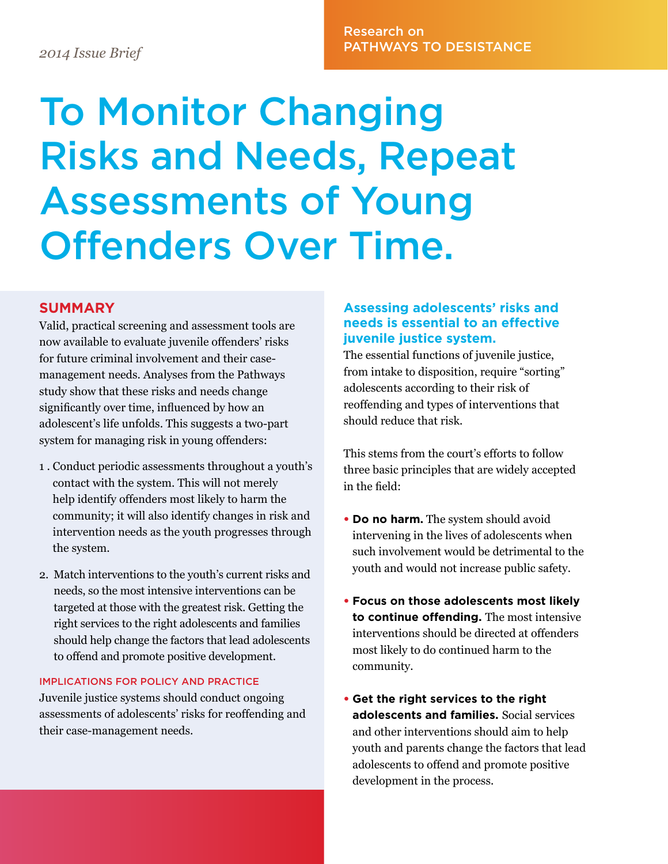# Research on PATHWAYS TO DESISTANCE *2014 Issue Brief*

# To Monitor Changing Risks and Needs, Repeat Assessments of Young Offenders Over Time.

### **SUMMARY**

Valid, practical screening and assessment tools are now available to evaluate juvenile offenders' risks for future criminal involvement and their casemanagement needs. Analyses from the Pathways study show that these risks and needs change significantly over time, influenced by how an adolescent's life unfolds. This suggests a two-part system for managing risk in young offenders:

- 1 . Conduct periodic assessments throughout a youth's contact with the system. This will not merely help identify offenders most likely to harm the community; it will also identify changes in risk and intervention needs as the youth progresses through the system.
- 2. Match interventions to the youth's current risks and needs, so the most intensive interventions can be targeted at those with the greatest risk. Getting the right services to the right adolescents and families should help change the factors that lead adolescents to offend and promote positive development.

#### IMPLICATIONS FOR POLICY AND PRACTICE

Juvenile justice systems should conduct ongoing assessments of adolescents' risks for reoffending and their case-management needs.

### **Assessing adolescents' risks and needs is essential to an effective juvenile justice system.**

The essential functions of juvenile justice, from intake to disposition, require "sorting" adolescents according to their risk of reoffending and types of interventions that should reduce that risk.

This stems from the court's efforts to follow three basic principles that are widely accepted in the field:

- **Do no harm.** The system should avoid intervening in the lives of adolescents when such involvement would be detrimental to the youth and would not increase public safety.
- **Focus on those adolescents most likely to continue offending.** The most intensive interventions should be directed at offenders most likely to do continued harm to the community.
- **Get the right services to the right adolescents and families.** Social services and other interventions should aim to help youth and parents change the factors that lead adolescents to offend and promote positive development in the process.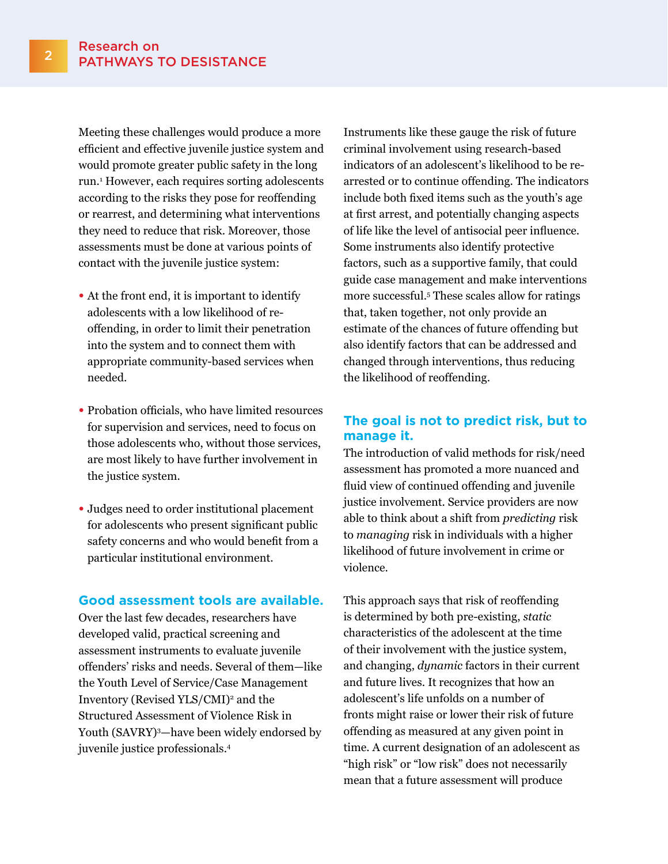Meeting these challenges would produce a more efficient and effective juvenile justice system and would promote greater public safety in the long run.1 However, each requires sorting adolescents according to the risks they pose for reoffending or rearrest, and determining what interventions they need to reduce that risk. Moreover, those assessments must be done at various points of contact with the juvenile justice system:

- At the front end, it is important to identify adolescents with a low likelihood of reoffending, in order to limit their penetration into the system and to connect them with appropriate community-based services when needed.
- Probation officials, who have limited resources for supervision and services, need to focus on those adolescents who, without those services, are most likely to have further involvement in the justice system.
- Judges need to order institutional placement for adolescents who present significant public safety concerns and who would benefit from a particular institutional environment.

#### **Good assessment tools are available.**

Over the last few decades, researchers have developed valid, practical screening and assessment instruments to evaluate juvenile offenders' risks and needs. Several of them—like the Youth Level of Service/Case Management Inventory (Revised YLS/CMI)<sup>2</sup> and the Structured Assessment of Violence Risk in Youth (SAVRY)3 —have been widely endorsed by juvenile justice professionals.4

Instruments like these gauge the risk of future criminal involvement using research-based indicators of an adolescent's likelihood to be rearrested or to continue offending. The indicators include both fixed items such as the youth's age at first arrest, and potentially changing aspects of life like the level of antisocial peer influence. Some instruments also identify protective factors, such as a supportive family, that could guide case management and make interventions more successful.5 These scales allow for ratings that, taken together, not only provide an estimate of the chances of future offending but also identify factors that can be addressed and changed through interventions, thus reducing the likelihood of reoffending.

#### **The goal is not to predict risk, but to manage it.**

The introduction of valid methods for risk/need assessment has promoted a more nuanced and fluid view of continued offending and juvenile justice involvement. Service providers are now able to think about a shift from *predicting* risk to *managing* risk in individuals with a higher likelihood of future involvement in crime or violence.

This approach says that risk of reoffending is determined by both pre-existing, *static* characteristics of the adolescent at the time of their involvement with the justice system, and changing, *dynamic* factors in their current and future lives. It recognizes that how an adolescent's life unfolds on a number of fronts might raise or lower their risk of future offending as measured at any given point in time. A current designation of an adolescent as "high risk" or "low risk" does not necessarily mean that a future assessment will produce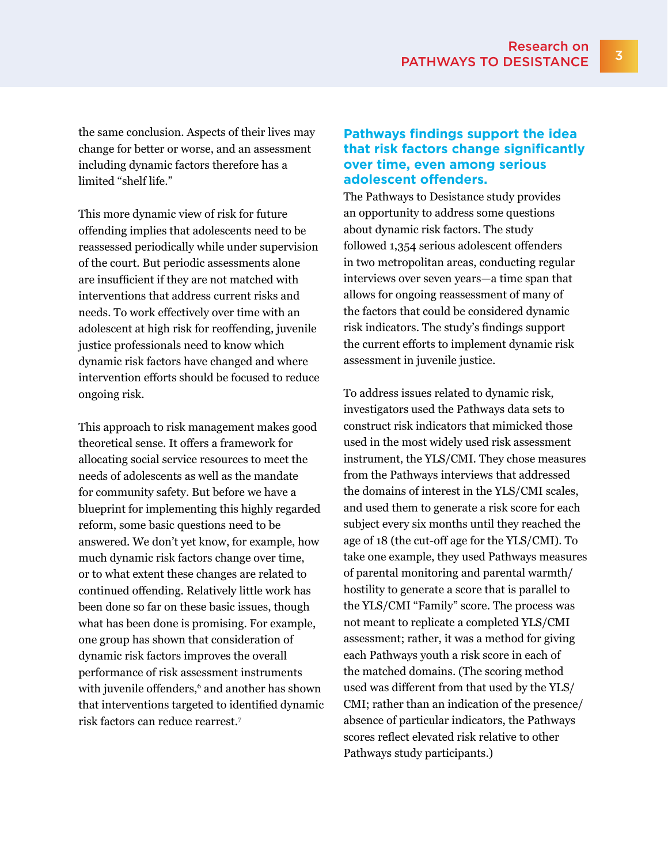the same conclusion. Aspects of their lives may change for better or worse, and an assessment including dynamic factors therefore has a limited "shelf life."

This more dynamic view of risk for future offending implies that adolescents need to be reassessed periodically while under supervision of the court. But periodic assessments alone are insufficient if they are not matched with interventions that address current risks and needs. To work effectively over time with an adolescent at high risk for reoffending, juvenile justice professionals need to know which dynamic risk factors have changed and where intervention efforts should be focused to reduce ongoing risk.

This approach to risk management makes good theoretical sense. It offers a framework for allocating social service resources to meet the needs of adolescents as well as the mandate for community safety. But before we have a blueprint for implementing this highly regarded reform, some basic questions need to be answered. We don't yet know, for example, how much dynamic risk factors change over time, or to what extent these changes are related to continued offending. Relatively little work has been done so far on these basic issues, though what has been done is promising. For example, one group has shown that consideration of dynamic risk factors improves the overall performance of risk assessment instruments with juvenile offenders,6 and another has shown that interventions targeted to identified dynamic risk factors can reduce rearrest.7

### **Pathways findings support the idea that risk factors change significantly over time, even among serious adolescent offenders.**

The Pathways to Desistance study provides an opportunity to address some questions about dynamic risk factors. The study followed 1,354 serious adolescent offenders in two metropolitan areas, conducting regular interviews over seven years—a time span that allows for ongoing reassessment of many of the factors that could be considered dynamic risk indicators. The study's findings support the current efforts to implement dynamic risk assessment in juvenile justice.

To address issues related to dynamic risk, investigators used the Pathways data sets to construct risk indicators that mimicked those used in the most widely used risk assessment instrument, the YLS/CMI. They chose measures from the Pathways interviews that addressed the domains of interest in the YLS/CMI scales, and used them to generate a risk score for each subject every six months until they reached the age of 18 (the cut-off age for the YLS/CMI). To take one example, they used Pathways measures of parental monitoring and parental warmth/ hostility to generate a score that is parallel to the YLS/CMI "Family" score. The process was not meant to replicate a completed YLS/CMI assessment; rather, it was a method for giving each Pathways youth a risk score in each of the matched domains. (The scoring method used was different from that used by the YLS/ CMI; rather than an indication of the presence/ absence of particular indicators, the Pathways scores reflect elevated risk relative to other Pathways study participants.)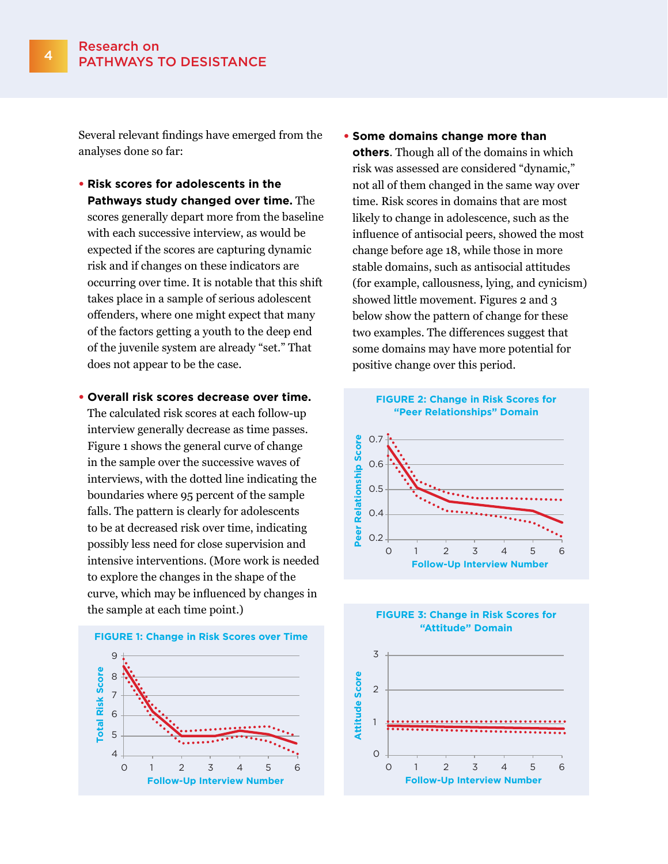Several relevant findings have emerged from the analyses done so far:

- **Risk scores for adolescents in the Pathways study changed over time.** The scores generally depart more from the baseline with each successive interview, as would be expected if the scores are capturing dynamic risk and if changes on these indicators are occurring over time. It is notable that this shift takes place in a sample of serious adolescent offenders, where one might expect that many of the factors getting a youth to the deep end of the juvenile system are already "set." That does not appear to be the case.
- **Overall risk scores decrease over time.**  The calculated risk scores at each follow-up interview generally decrease as time passes. Figure 1 shows the general curve of change in the sample over the successive waves of interviews, with the dotted line indicating the boundaries where 95 percent of the sample falls. The pattern is clearly for adolescents to be at decreased risk over time, indicating possibly less need for close supervision and intensive interventions. (More work is needed to explore the changes in the shape of the curve, which may be influenced by changes in the sample at each time point.)



• **Some domains change more than others**. Though all of the domains in which risk was assessed are considered "dynamic," not all of them changed in the same way over time. Risk scores in domains that are most likely to change in adolescence, such as the influence of antisocial peers, showed the most change before age 18, while those in more stable domains, such as antisocial attitudes (for example, callousness, lying, and cynicism) showed little movement. Figures 2 and 3 below show the pattern of change for these two examples. The differences suggest that some domains may have more potential for positive change over this period.





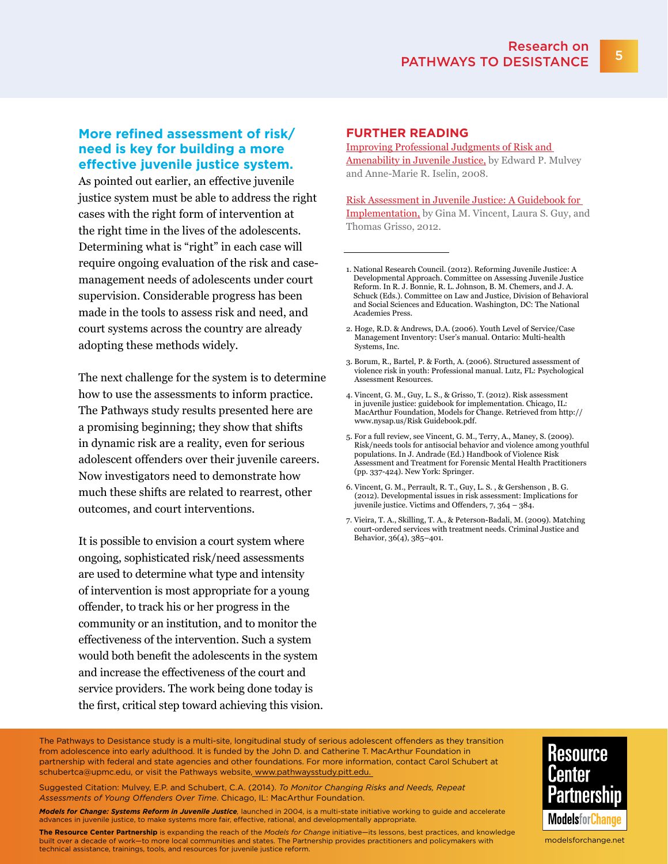### **More refined assessment of risk/ need is key for building a more effective juvenile justice system.**

As pointed out earlier, an effective juvenile justice system must be able to address the right cases with the right form of intervention at the right time in the lives of the adolescents. Determining what is "right" in each case will require ongoing evaluation of the risk and casemanagement needs of adolescents under court supervision. Considerable progress has been made in the tools to assess risk and need, and court systems across the country are already adopting these methods widely.

The next challenge for the system is to determine how to use the assessments to inform practice. The Pathways study results presented here are a promising beginning; they show that shifts in dynamic risk are a reality, even for serious adolescent offenders over their juvenile careers. Now investigators need to demonstrate how much these shifts are related to rearrest, other outcomes, and court interventions.

It is possible to envision a court system where ongoing, sophisticated risk/need assessments are used to determine what type and intensity of intervention is most appropriate for a young offender, to track his or her progress in the community or an institution, and to monitor the effectiveness of the intervention. Such a system would both benefit the adolescents in the system and increase the effectiveness of the court and service providers. The work being done today is the first, critical step toward achieving this vision.

#### **FURTHER READING**

[Improving Professional Judgments of Risk and](http://futureofchildren.org/futureofchildren/publications/journals/article/index.xml?journalid=31&articleid=41§ionid=108&submit)  [Amenability in Juvenile Justice,](http://futureofchildren.org/futureofchildren/publications/journals/article/index.xml?journalid=31&articleid=41§ionid=108&submit) by Edward P. Mulvey and Anne-Marie R. Iselin, 2008.

[Risk Assessment in Juvenile Justice: A Guidebook for](http://www.modelsforchange.net/publications/346)  [Implementation,](http://www.modelsforchange.net/publications/346) by Gina M. Vincent, Laura S. Guy, and Thomas Grisso, 2012.

- 2. Hoge, R.D. & Andrews, D.A. (2006). Youth Level of Service/Case Management Inventory: User's manual. Ontario: Multi-health Systems, Inc.
- 3. Borum, R., Bartel, P. & Forth, A. (2006). Structured assessment of violence risk in youth: Professional manual. Lutz, FL: Psychological Assessment Resources.
- 4. Vincent, G. M., Guy, L. S., & Grisso, T. (2012). Risk assessment in juvenile justice: guidebook for implementation. Chicago, IL: MacArthur Foundation, Models for Change. Retrieved from [http://](http://www.nysap.us/Risk) [www.nysap.us/Risk](http://www.nysap.us/Risk) <Guidebook.pdf>.
- 5. For a full review, see Vincent, G. M., Terry, A., Maney, S. (2009). Risk/needs tools for antisocial behavior and violence among youthful populations. In J. Andrade (Ed.) Handbook of Violence Risk Assessment and Treatment for Forensic Mental Health Practitioners (pp. 337-424). New York: Springer.
- 6. Vincent, G. M., Perrault, R. T., Guy, L. S. , & Gershenson , B. G. (2012). Developmental issues in risk assessment: Implications for juvenile justice. Victims and Offenders, 7, 364 – 384.
- 7. Vieira, T. A., Skilling, T. A., & Peterson-Badali, M. (2009). Matching court-ordered services with treatment needs. Criminal Justice and Behavior, 36(4), 385–401.

The Pathways to Desistance study is a multi-site, longitudinal study of serious adolescent offenders as they transition from adolescence into early adulthood. It is funded by the John D. and Catherine T. MacArthur Foundation in partnership with federal and state agencies and other foundations. For more information, contact Carol Schubert at [schubertca@upmc.edu,](mailto:schubertca@upmc.edu) or visit the Pathways website, <www.pathwaysstudy.pitt.edu>.

Suggested Citation: Mulvey, E.P. and Schubert, C.A. (2014). *To Monitor Changing Risks and Needs, Repeat Assessments of Young Offenders Over Time*. Chicago, IL: MacArthur Foundation.

*Models for Change: Systems Reform in Juvenile Justice,* launched in 2004, is a multi-state initiative working to guide and accelerate advances in juvenile justice, to make systems more fair, effective, rational, and developmentally appropriate

**The Resource Center Partnership** is expanding the reach of the *Models for Change* initiative—its lessons, best practices, and knowledge built over a decade of work—to more local communities and states. The Partnership provides practitioners and policymakers with technical assistance, trainings, tools, and resources for juvenile justice reform.



<modelsforchange.net>

<sup>1.</sup> National Research Council. (2012). Reforming Juvenile Justice: A Developmental Approach. Committee on Assessing Juvenile Justice Reform. In R. J. Bonnie, R. L. Johnson, B. M. Chemers, and J. A. Schuck (Eds.). Committee on Law and Justice, Division of Behavioral and Social Sciences and Education. Washington, DC: The National Academies Press.